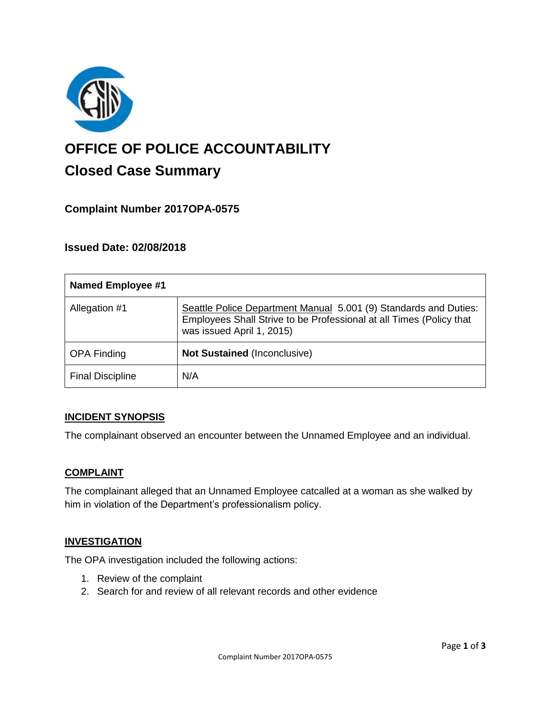

# **OFFICE OF POLICE ACCOUNTABILITY**

# **Closed Case Summary**

# **Complaint Number 2017OPA-0575**

## **Issued Date: 02/08/2018**

| <b>Named Employee #1</b> |                                                                                                                                                                      |
|--------------------------|----------------------------------------------------------------------------------------------------------------------------------------------------------------------|
| Allegation #1            | Seattle Police Department Manual 5.001 (9) Standards and Duties:<br>Employees Shall Strive to be Professional at all Times (Policy that<br>was issued April 1, 2015) |
| <b>OPA Finding</b>       | <b>Not Sustained (Inconclusive)</b>                                                                                                                                  |
| <b>Final Discipline</b>  | N/A                                                                                                                                                                  |

#### **INCIDENT SYNOPSIS**

The complainant observed an encounter between the Unnamed Employee and an individual.

#### **COMPLAINT**

The complainant alleged that an Unnamed Employee catcalled at a woman as she walked by him in violation of the Department's professionalism policy.

#### **INVESTIGATION**

The OPA investigation included the following actions:

- 1. Review of the complaint
- 2. Search for and review of all relevant records and other evidence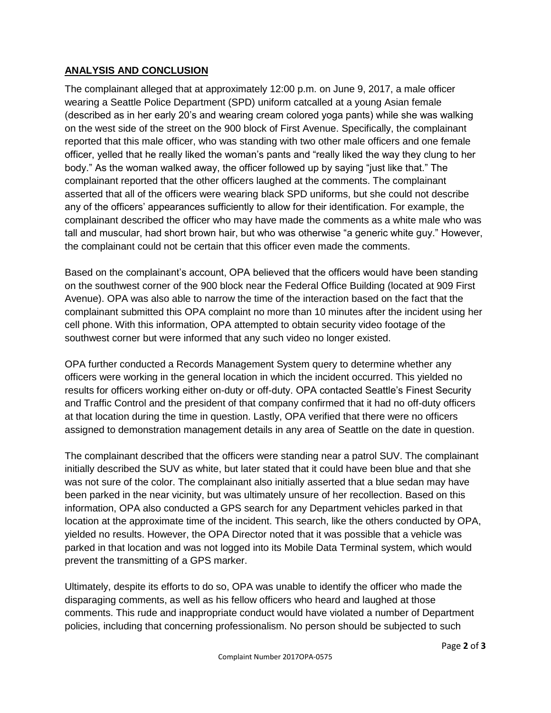## **ANALYSIS AND CONCLUSION**

The complainant alleged that at approximately 12:00 p.m. on June 9, 2017, a male officer wearing a Seattle Police Department (SPD) uniform catcalled at a young Asian female (described as in her early 20's and wearing cream colored yoga pants) while she was walking on the west side of the street on the 900 block of First Avenue. Specifically, the complainant reported that this male officer, who was standing with two other male officers and one female officer, yelled that he really liked the woman's pants and "really liked the way they clung to her body." As the woman walked away, the officer followed up by saying "just like that." The complainant reported that the other officers laughed at the comments. The complainant asserted that all of the officers were wearing black SPD uniforms, but she could not describe any of the officers' appearances sufficiently to allow for their identification. For example, the complainant described the officer who may have made the comments as a white male who was tall and muscular, had short brown hair, but who was otherwise "a generic white guy." However, the complainant could not be certain that this officer even made the comments.

Based on the complainant's account, OPA believed that the officers would have been standing on the southwest corner of the 900 block near the Federal Office Building (located at 909 First Avenue). OPA was also able to narrow the time of the interaction based on the fact that the complainant submitted this OPA complaint no more than 10 minutes after the incident using her cell phone. With this information, OPA attempted to obtain security video footage of the southwest corner but were informed that any such video no longer existed.

OPA further conducted a Records Management System query to determine whether any officers were working in the general location in which the incident occurred. This yielded no results for officers working either on-duty or off-duty. OPA contacted Seattle's Finest Security and Traffic Control and the president of that company confirmed that it had no off-duty officers at that location during the time in question. Lastly, OPA verified that there were no officers assigned to demonstration management details in any area of Seattle on the date in question.

The complainant described that the officers were standing near a patrol SUV. The complainant initially described the SUV as white, but later stated that it could have been blue and that she was not sure of the color. The complainant also initially asserted that a blue sedan may have been parked in the near vicinity, but was ultimately unsure of her recollection. Based on this information, OPA also conducted a GPS search for any Department vehicles parked in that location at the approximate time of the incident. This search, like the others conducted by OPA, yielded no results. However, the OPA Director noted that it was possible that a vehicle was parked in that location and was not logged into its Mobile Data Terminal system, which would prevent the transmitting of a GPS marker.

Ultimately, despite its efforts to do so, OPA was unable to identify the officer who made the disparaging comments, as well as his fellow officers who heard and laughed at those comments. This rude and inappropriate conduct would have violated a number of Department policies, including that concerning professionalism. No person should be subjected to such